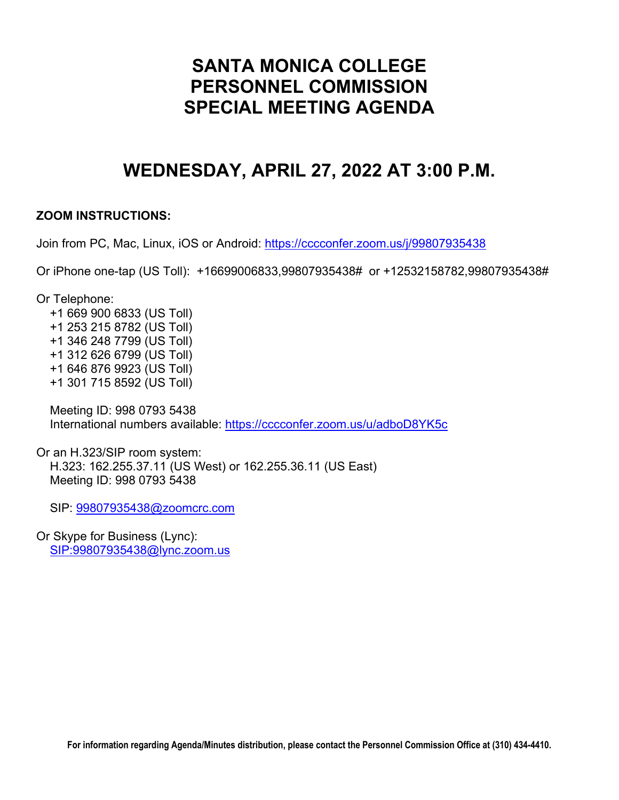# **SANTA MONICA COLLEGE PERSONNEL COMMISSION SPECIAL MEETING AGENDA**

# **WEDNESDAY, APRIL 27, 2022 AT 3:00 P.M.**

# **ZOOM INSTRUCTIONS:**

Join from PC, Mac, Linux, iOS or Android:<https://cccconfer.zoom.us/j/99807935438>

Or iPhone one-tap (US Toll): +16699006833,99807935438# or +12532158782,99807935438#

Or Telephone:

 +1 669 900 6833 (US Toll) +1 253 215 8782 (US Toll) +1 346 248 7799 (US Toll) +1 312 626 6799 (US Toll) +1 646 876 9923 (US Toll) +1 301 715 8592 (US Toll)

 Meeting ID: 998 0793 5438 International numbers available:<https://cccconfer.zoom.us/u/adboD8YK5c>

Or an H.323/SIP room system: H.323: 162.255.37.11 (US West) or 162.255.36.11 (US East) Meeting ID: 998 0793 5438

SIP: [99807935438@zoomcrc.com](mailto:99807935438@zoomcrc.com)

Or Skype for Business (Lync): [SIP:99807935438@lync.zoom.us](sip:99807935438@lync.zoom.us)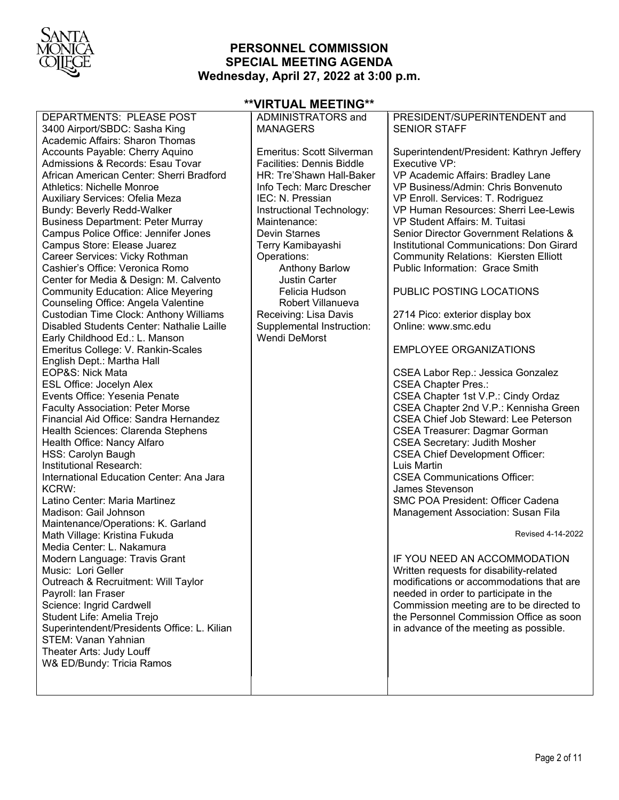

# **PERSONNEL COMMISSION SPECIAL MEETING AGENDA Wednesday, April 27, 2022 at 3:00 p.m.**

| DEPARTMENTS: PLEASE POST                    | ADMINISTRATORS and               | PRESIDENT/SUPERINTENDENT and                 |
|---------------------------------------------|----------------------------------|----------------------------------------------|
| 3400 Airport/SBDC: Sasha King               | <b>MANAGERS</b>                  | <b>SENIOR STAFF</b>                          |
| Academic Affairs: Sharon Thomas             |                                  |                                              |
| Accounts Payable: Cherry Aquino             | Emeritus: Scott Silverman        | Superintendent/President: Kathryn Jeffery    |
| Admissions & Records: Esau Tovar            | <b>Facilities: Dennis Biddle</b> | Executive VP:                                |
| African American Center: Sherri Bradford    | HR: Tre'Shawn Hall-Baker         | VP Academic Affairs: Bradley Lane            |
| <b>Athletics: Nichelle Monroe</b>           | Info Tech: Marc Drescher         | VP Business/Admin: Chris Bonvenuto           |
| Auxiliary Services: Ofelia Meza             | IEC: N. Pressian                 | VP Enroll. Services: T. Rodriguez            |
| Bundy: Beverly Redd-Walker                  | Instructional Technology:        | VP Human Resources: Sherri Lee-Lewis         |
| <b>Business Department: Peter Murray</b>    | Maintenance:                     | VP Student Affairs: M. Tuitasi               |
| Campus Police Office: Jennifer Jones        | <b>Devin Starnes</b>             | Senior Director Government Relations &       |
| Campus Store: Elease Juarez                 | Terry Kamibayashi                | Institutional Communications: Don Girard     |
| Career Services: Vicky Rothman              | Operations:                      | <b>Community Relations: Kiersten Elliott</b> |
| Cashier's Office: Veronica Romo             | <b>Anthony Barlow</b>            | Public Information: Grace Smith              |
| Center for Media & Design: M. Calvento      | <b>Justin Carter</b>             |                                              |
| <b>Community Education: Alice Meyering</b>  | Felicia Hudson                   | <b>PUBLIC POSTING LOCATIONS</b>              |
| Counseling Office: Angela Valentine         | Robert Villanueva                |                                              |
| Custodian Time Clock: Anthony Williams      | Receiving: Lisa Davis            | 2714 Pico: exterior display box              |
| Disabled Students Center: Nathalie Laille   | Supplemental Instruction:        | Online: www.smc.edu                          |
| Early Childhood Ed.: L. Manson              | <b>Wendi DeMorst</b>             |                                              |
| Emeritus College: V. Rankin-Scales          |                                  | <b>EMPLOYEE ORGANIZATIONS</b>                |
| English Dept.: Martha Hall                  |                                  |                                              |
| EOP&S: Nick Mata                            |                                  | CSEA Labor Rep.: Jessica Gonzalez            |
| <b>ESL Office: Jocelyn Alex</b>             |                                  | <b>CSEA Chapter Pres.:</b>                   |
| Events Office: Yesenia Penate               |                                  | CSEA Chapter 1st V.P.: Cindy Ordaz           |
| <b>Faculty Association: Peter Morse</b>     |                                  | CSEA Chapter 2nd V.P.: Kennisha Green        |
| Financial Aid Office: Sandra Hernandez      |                                  | <b>CSEA Chief Job Steward: Lee Peterson</b>  |
| Health Sciences: Clarenda Stephens          |                                  | <b>CSEA Treasurer: Dagmar Gorman</b>         |
| Health Office: Nancy Alfaro                 |                                  | <b>CSEA Secretary: Judith Mosher</b>         |
| HSS: Carolyn Baugh                          |                                  | <b>CSEA Chief Development Officer:</b>       |
| Institutional Research:                     |                                  | Luis Martin                                  |
| International Education Center: Ana Jara    |                                  | <b>CSEA Communications Officer:</b>          |
| KCRW:                                       |                                  | James Stevenson                              |
| Latino Center: Maria Martinez               |                                  | <b>SMC POA President: Officer Cadena</b>     |
| Madison: Gail Johnson                       |                                  | Management Association: Susan Fila           |
| Maintenance/Operations: K. Garland          |                                  |                                              |
| Math Village: Kristina Fukuda               |                                  | Revised 4-14-2022                            |
| Media Center: L. Nakamura                   |                                  |                                              |
| Modern Language: Travis Grant               |                                  | IF YOU NEED AN ACCOMMODATION                 |
| Music: Lori Geller                          |                                  | Written requests for disability-related      |
| Outreach & Recruitment: Will Taylor         |                                  | modifications or accommodations that are     |
| Payroll: Ian Fraser                         |                                  | needed in order to participate in the        |
| Science: Ingrid Cardwell                    |                                  | Commission meeting are to be directed to     |
| Student Life: Amelia Trejo                  |                                  | the Personnel Commission Office as soon      |
| Superintendent/Presidents Office: L. Kilian |                                  | in advance of the meeting as possible.       |
| <b>STEM: Vanan Yahnian</b>                  |                                  |                                              |
| Theater Arts: Judy Louff                    |                                  |                                              |
| W& ED/Bundy: Tricia Ramos                   |                                  |                                              |
|                                             |                                  |                                              |

# **\*\*VIRTUAL MEETING\*\***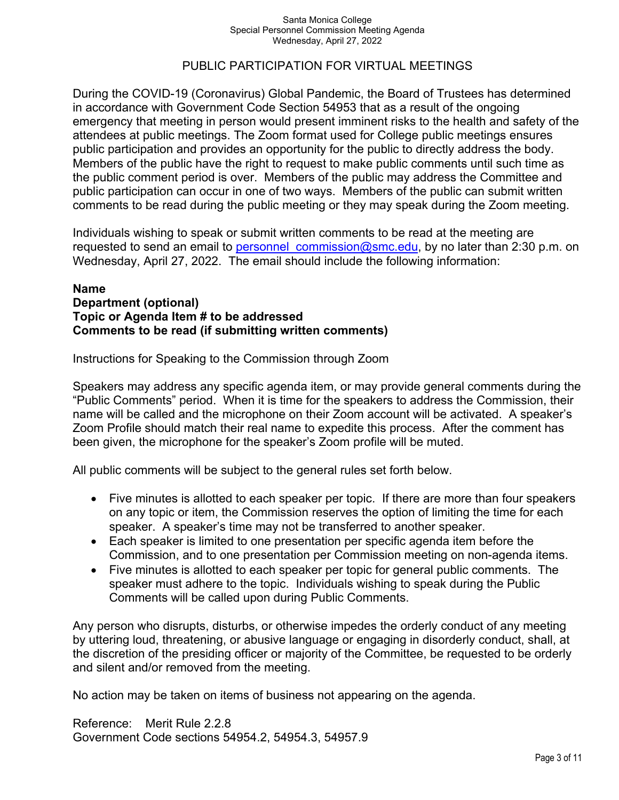### PUBLIC PARTICIPATION FOR VIRTUAL MEETINGS

During the COVID-19 (Coronavirus) Global Pandemic, the Board of Trustees has determined in accordance with Government Code Section 54953 that as a result of the ongoing emergency that meeting in person would present imminent risks to the health and safety of the attendees at public meetings. The Zoom format used for College public meetings ensures public participation and provides an opportunity for the public to directly address the body. Members of the public have the right to request to make public comments until such time as the public comment period is over. Members of the public may address the Committee and public participation can occur in one of two ways. Members of the public can submit written comments to be read during the public meeting or they may speak during the Zoom meeting.

Individuals wishing to speak or submit written comments to be read at the meeting are requested to send an email to personnel commission@smc.edu, by no later than 2:30 p.m. on Wednesday, April 27, 2022. The email should include the following information:

### **Name Department (optional) Topic or Agenda Item # to be addressed Comments to be read (if submitting written comments)**

Instructions for Speaking to the Commission through Zoom

Speakers may address any specific agenda item, or may provide general comments during the "Public Comments" period. When it is time for the speakers to address the Commission, their name will be called and the microphone on their Zoom account will be activated. A speaker's Zoom Profile should match their real name to expedite this process. After the comment has been given, the microphone for the speaker's Zoom profile will be muted.

All public comments will be subject to the general rules set forth below.

- Five minutes is allotted to each speaker per topic. If there are more than four speakers on any topic or item, the Commission reserves the option of limiting the time for each speaker. A speaker's time may not be transferred to another speaker.
- Each speaker is limited to one presentation per specific agenda item before the Commission, and to one presentation per Commission meeting on non-agenda items.
- Five minutes is allotted to each speaker per topic for general public comments. The speaker must adhere to the topic. Individuals wishing to speak during the Public Comments will be called upon during Public Comments.

Any person who disrupts, disturbs, or otherwise impedes the orderly conduct of any meeting by uttering loud, threatening, or abusive language or engaging in disorderly conduct, shall, at the discretion of the presiding officer or majority of the Committee, be requested to be orderly and silent and/or removed from the meeting.

No action may be taken on items of business not appearing on the agenda.

Reference: Merit Rule 2.2.8 Government Code sections 54954.2, 54954.3, 54957.9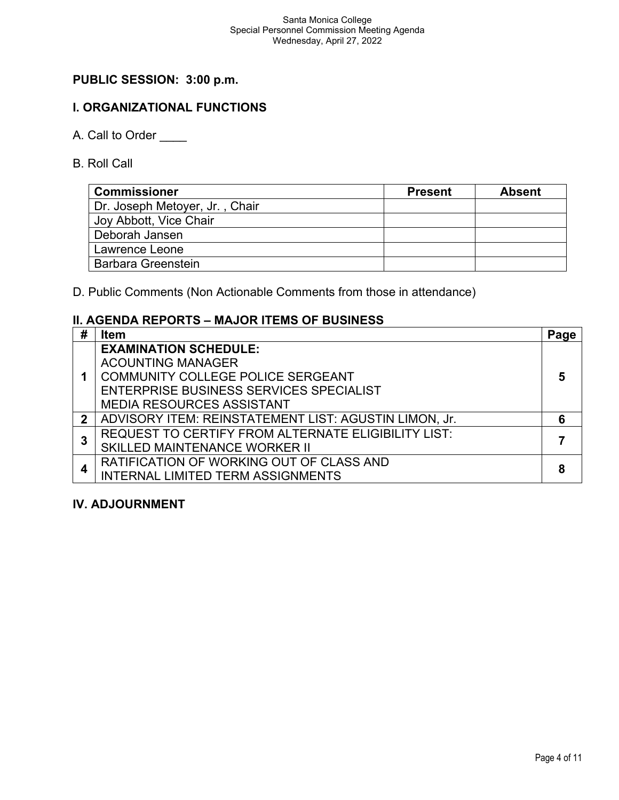# **PUBLIC SESSION: 3:00 p.m.**

# **I. ORGANIZATIONAL FUNCTIONS**

- A. Call to Order
- B. Roll Call

| <b>Commissioner</b>            | <b>Present</b> | <b>Absent</b> |
|--------------------------------|----------------|---------------|
| Dr. Joseph Metoyer, Jr., Chair |                |               |
| Joy Abbott, Vice Chair         |                |               |
| Deborah Jansen                 |                |               |
| Lawrence Leone                 |                |               |
| <b>Barbara Greenstein</b>      |                |               |

D. Public Comments (Non Actionable Comments from those in attendance)

# **II. AGENDA REPORTS – MAJOR ITEMS OF BUSINESS**

| #            | <b>Item</b>                                           | Page |
|--------------|-------------------------------------------------------|------|
|              | <b>EXAMINATION SCHEDULE:</b>                          |      |
|              | <b>ACOUNTING MANAGER</b>                              |      |
|              | COMMUNITY COLLEGE POLICE SERGEANT                     | 5    |
|              | ENTERPRISE BUSINESS SERVICES SPECIALIST               |      |
|              | <b>MEDIA RESOURCES ASSISTANT</b>                      |      |
| $\mathbf{2}$ | ADVISORY ITEM: REINSTATEMENT LIST: AGUSTIN LIMON, Jr. | 6    |
|              | REQUEST TO CERTIFY FROM ALTERNATE ELIGIBILITY LIST:   |      |
|              | SKILLED MAINTENANCE WORKER II                         |      |
|              | RATIFICATION OF WORKING OUT OF CLASS AND              |      |
|              | <b>INTERNAL LIMITED TERM ASSIGNMENTS</b>              |      |

### **IV. ADJOURNMENT**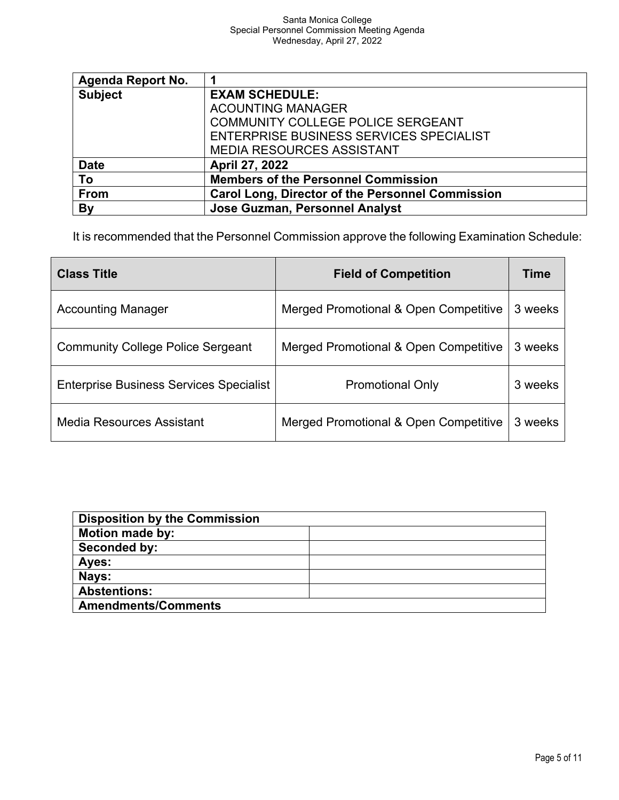| Agenda Report No. |                                                         |  |
|-------------------|---------------------------------------------------------|--|
| <b>Subject</b>    | <b>EXAM SCHEDULE:</b>                                   |  |
|                   | <b>ACOUNTING MANAGER</b>                                |  |
|                   | COMMUNITY COLLEGE POLICE SERGEANT                       |  |
|                   | ENTERPRISE BUSINESS SERVICES SPECIALIST                 |  |
|                   | <b>MEDIA RESOURCES ASSISTANT</b>                        |  |
| <b>Date</b>       | <b>April 27, 2022</b>                                   |  |
| To                | <b>Members of the Personnel Commission</b>              |  |
| From              | <b>Carol Long, Director of the Personnel Commission</b> |  |
| By                | Jose Guzman, Personnel Analyst                          |  |

It is recommended that the Personnel Commission approve the following Examination Schedule:

| <b>Class Title</b>                             | <b>Field of Competition</b>           | <b>Time</b> |
|------------------------------------------------|---------------------------------------|-------------|
| <b>Accounting Manager</b>                      | Merged Promotional & Open Competitive | 3 weeks     |
| <b>Community College Police Sergeant</b>       | Merged Promotional & Open Competitive | 3 weeks     |
| <b>Enterprise Business Services Specialist</b> | <b>Promotional Only</b>               | 3 weeks     |
| Media Resources Assistant                      | Merged Promotional & Open Competitive | 3 weeks     |

| <b>Disposition by the Commission</b> |  |
|--------------------------------------|--|
| <b>Motion made by:</b>               |  |
| Seconded by:                         |  |
| Ayes:                                |  |
| Nays:                                |  |
| <b>Abstentions:</b>                  |  |
| <b>Amendments/Comments</b>           |  |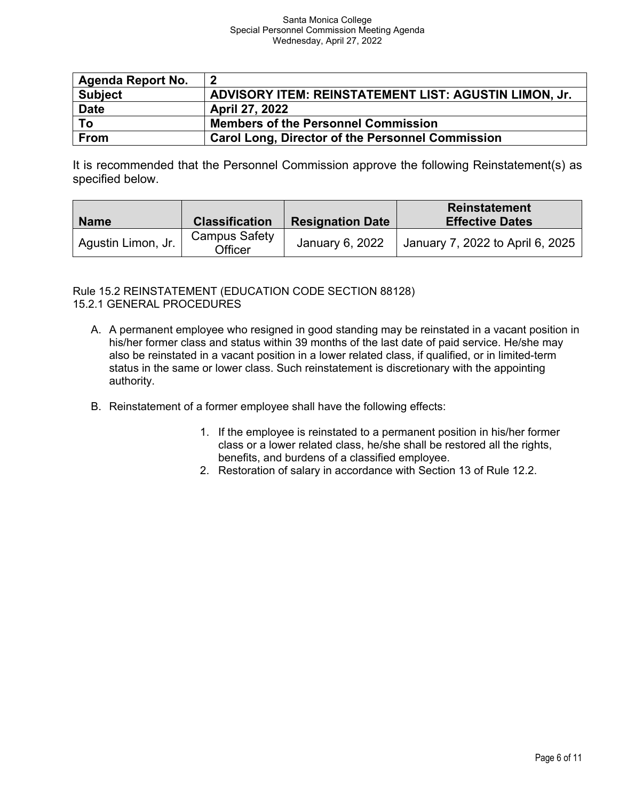| <b>Agenda Report No.</b> | 2                                                       |
|--------------------------|---------------------------------------------------------|
| <b>Subject</b>           | ADVISORY ITEM: REINSTATEMENT LIST: AGUSTIN LIMON, Jr.   |
| <b>Date</b>              | <b>April 27, 2022</b>                                   |
| To                       | <b>Members of the Personnel Commission</b>              |
| <b>From</b>              | <b>Carol Long, Director of the Personnel Commission</b> |

It is recommended that the Personnel Commission approve the following Reinstatement(s) as specified below.

| <b>Name</b>        | <b>Classification</b>           | <b>Resignation Date</b> | <b>Reinstatement</b><br><b>Effective Dates</b> |
|--------------------|---------------------------------|-------------------------|------------------------------------------------|
| Agustin Limon, Jr. | <b>Campus Safety</b><br>Officer | January 6, 2022         | January 7, 2022 to April 6, 2025               |

### Rule 15.2 REINSTATEMENT (EDUCATION CODE SECTION 88128) 15.2.1 GENERAL PROCEDURES

- A. A permanent employee who resigned in good standing may be reinstated in a vacant position in his/her former class and status within 39 months of the last date of paid service. He/she may also be reinstated in a vacant position in a lower related class, if qualified, or in limited-term status in the same or lower class. Such reinstatement is discretionary with the appointing authority.
- B. Reinstatement of a former employee shall have the following effects:
	- 1. If the employee is reinstated to a permanent position in his/her former class or a lower related class, he/she shall be restored all the rights, benefits, and burdens of a classified employee.
	- 2. Restoration of salary in accordance with Section 13 of Rule 12.2.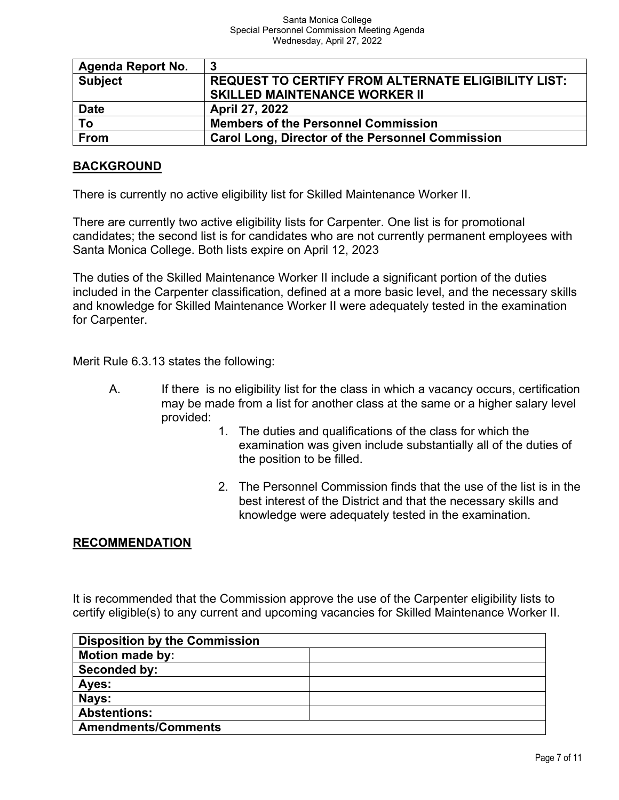| <b>Agenda Report No.</b> | -3                                                      |
|--------------------------|---------------------------------------------------------|
| <b>Subject</b>           | REQUEST TO CERTIFY FROM ALTERNATE ELIGIBILITY LIST:     |
|                          | <b>SKILLED MAINTENANCE WORKER II</b>                    |
| <b>Date</b>              | April 27, 2022                                          |
| To                       | <b>Members of the Personnel Commission</b>              |
| <b>From</b>              | <b>Carol Long, Director of the Personnel Commission</b> |

### **BACKGROUND**

There is currently no active eligibility list for Skilled Maintenance Worker II.

There are currently two active eligibility lists for Carpenter. One list is for promotional candidates; the second list is for candidates who are not currently permanent employees with Santa Monica College. Both lists expire on April 12, 2023

The duties of the Skilled Maintenance Worker II include a significant portion of the duties included in the Carpenter classification, defined at a more basic level, and the necessary skills and knowledge for Skilled Maintenance Worker II were adequately tested in the examination for Carpenter.

Merit Rule 6.3.13 states the following:

- A. If there is no eligibility list for the class in which a vacancy occurs, certification may be made from a list for another class at the same or a higher salary level provided:
	- 1. The duties and qualifications of the class for which the examination was given include substantially all of the duties of the position to be filled.
	- 2. The Personnel Commission finds that the use of the list is in the best interest of the District and that the necessary skills and knowledge were adequately tested in the examination.

### **RECOMMENDATION**

It is recommended that the Commission approve the use of the Carpenter eligibility lists to certify eligible(s) to any current and upcoming vacancies for Skilled Maintenance Worker II.

| <b>Disposition by the Commission</b> |  |  |
|--------------------------------------|--|--|
| <b>Motion made by:</b>               |  |  |
| Seconded by:                         |  |  |
| Ayes:                                |  |  |
| Nays:                                |  |  |
| <b>Abstentions:</b>                  |  |  |
| <b>Amendments/Comments</b>           |  |  |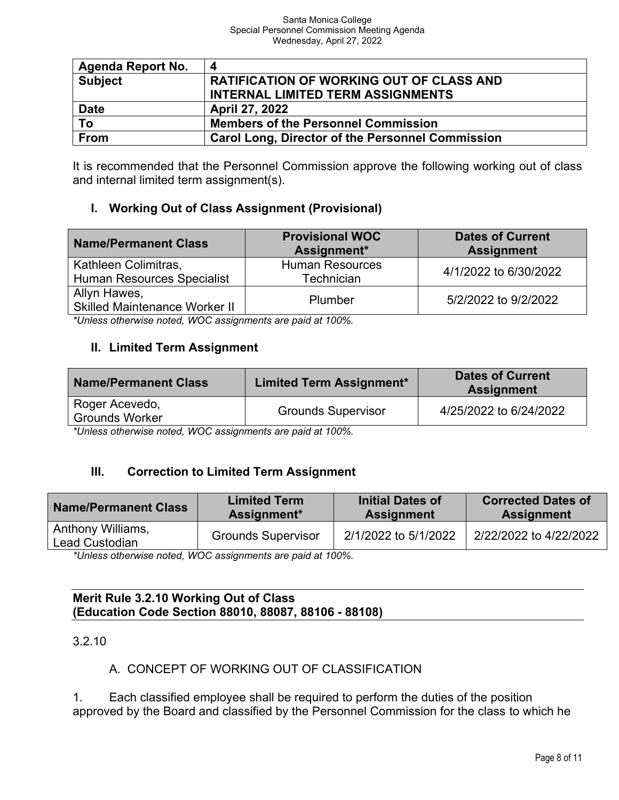| Agenda Report No. | 4                                                       |
|-------------------|---------------------------------------------------------|
| <b>Subject</b>    | <b>RATIFICATION OF WORKING OUT OF CLASS AND</b>         |
|                   | <b>INTERNAL LIMITED TERM ASSIGNMENTS</b>                |
| <b>Date</b>       | April 27, 2022                                          |
| To                | <b>Members of the Personnel Commission</b>              |
| From              | <b>Carol Long, Director of the Personnel Commission</b> |

It is recommended that the Personnel Commission approve the following working out of class and internal limited term assignment(s).

### **I. Working Out of Class Assignment (Provisional)**

| <b>Name/Permanent Class</b>                               | <b>Provisional WOC</b><br>Assignment* | <b>Dates of Current</b><br><b>Assignment</b> |
|-----------------------------------------------------------|---------------------------------------|----------------------------------------------|
| Kathleen Colimitras,<br><b>Human Resources Specialist</b> | <b>Human Resources</b><br>Technician  | 4/1/2022 to 6/30/2022                        |
| Allyn Hawes,<br><b>Skilled Maintenance Worker II</b>      | Plumber                               | 5/2/2022 to 9/2/2022                         |

*\*Unless otherwise noted, WOC assignments are paid at 100%.*

### **II. Limited Term Assignment**

| <b>Name/Permanent Class</b>                                                      | <b>Limited Term Assignment*</b> | <b>Dates of Current</b><br><b>Assignment</b> |  |  |
|----------------------------------------------------------------------------------|---------------------------------|----------------------------------------------|--|--|
| Roger Acevedo,<br><b>Grounds Worker</b>                                          | <b>Grounds Supervisor</b>       | 4/25/2022 to 6/24/2022                       |  |  |
| $H L L L = 1.4L$ and $L = 0.4L$ and $H R R$ are determined and $L L L L L R R R$ |                                 |                                              |  |  |

*\*Unless otherwise noted, WOC assignments are paid at 100%.*

# **III. Correction to Limited Term Assignment**

| <b>Name/Permanent Class</b>         | <b>Limited Term</b>       | <b>Initial Dates of</b> | <b>Corrected Dates of</b> |
|-------------------------------------|---------------------------|-------------------------|---------------------------|
|                                     | Assignment*               | <b>Assignment</b>       | <b>Assignment</b>         |
| Anthony Williams,<br>Lead Custodian | <b>Grounds Supervisor</b> | 2/1/2022 to 5/1/2022    | 2/22/2022 to 4/22/2022    |

*\*Unless otherwise noted, WOC assignments are paid at 100%.*

### **Merit Rule 3.2.10 Working Out of Class (Education Code Section 88010, 88087, 88106 - 88108)**

3.2.10

# A. CONCEPT OF WORKING OUT OF CLASSIFICATION

1. Each classified employee shall be required to perform the duties of the position approved by the Board and classified by the Personnel Commission for the class to which he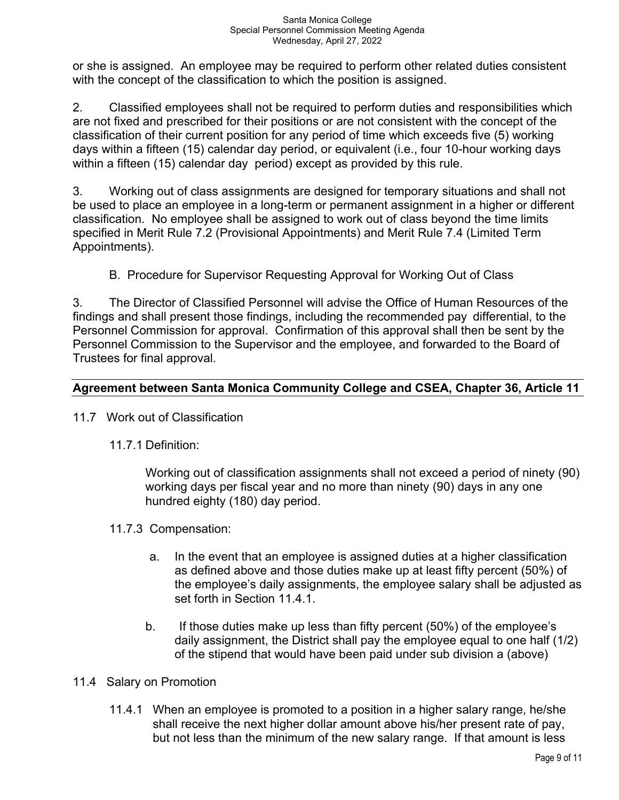or she is assigned. An employee may be required to perform other related duties consistent with the concept of the classification to which the position is assigned.

2. Classified employees shall not be required to perform duties and responsibilities which are not fixed and prescribed for their positions or are not consistent with the concept of the classification of their current position for any period of time which exceeds five (5) working days within a fifteen (15) calendar day period, or equivalent (i.e., four 10-hour working days within a fifteen (15) calendar day period) except as provided by this rule.

3. Working out of class assignments are designed for temporary situations and shall not be used to place an employee in a long-term or permanent assignment in a higher or different classification. No employee shall be assigned to work out of class beyond the time limits specified in Merit Rule 7.2 (Provisional Appointments) and Merit Rule 7.4 (Limited Term Appointments).

B. Procedure for Supervisor Requesting Approval for Working Out of Class

3. The Director of Classified Personnel will advise the Office of Human Resources of the findings and shall present those findings, including the recommended pay differential, to the Personnel Commission for approval. Confirmation of this approval shall then be sent by the Personnel Commission to the Supervisor and the employee, and forwarded to the Board of Trustees for final approval.

# **Agreement between Santa Monica Community College and CSEA, Chapter 36, Article 11**

- 11.7 Work out of Classification
	- 11.7.1 Definition:

Working out of classification assignments shall not exceed a period of ninety (90) working days per fiscal year and no more than ninety (90) days in any one hundred eighty (180) day period.

- 11.7.3 Compensation:
	- a. In the event that an employee is assigned duties at a higher classification as defined above and those duties make up at least fifty percent (50%) of the employee's daily assignments, the employee salary shall be adjusted as set forth in Section 11.4.1.
	- b. If those duties make up less than fifty percent (50%) of the employee's daily assignment, the District shall pay the employee equal to one half (1/2) of the stipend that would have been paid under sub division a (above)
- 11.4 Salary on Promotion
	- 11.4.1 When an employee is promoted to a position in a higher salary range, he/she shall receive the next higher dollar amount above his/her present rate of pay, but not less than the minimum of the new salary range. If that amount is less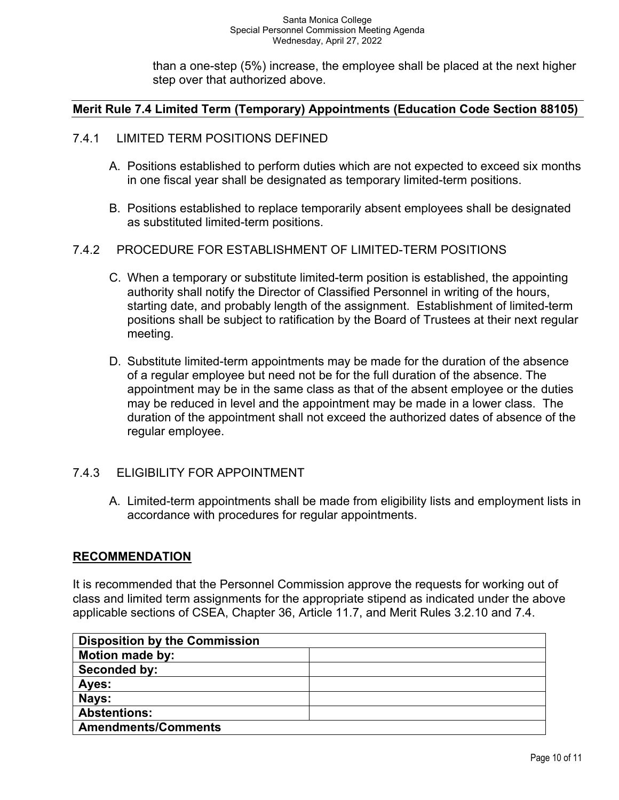than a one-step (5%) increase, the employee shall be placed at the next higher step over that authorized above.

# **Merit Rule 7.4 Limited Term (Temporary) Appointments (Education Code Section 88105)**

### 7.4.1 LIMITED TERM POSITIONS DEFINED

- A. Positions established to perform duties which are not expected to exceed six months in one fiscal year shall be designated as temporary limited-term positions.
- B. Positions established to replace temporarily absent employees shall be designated as substituted limited-term positions.

### 7.4.2 PROCEDURE FOR ESTABLISHMENT OF LIMITED-TERM POSITIONS

- C. When a temporary or substitute limited-term position is established, the appointing authority shall notify the Director of Classified Personnel in writing of the hours, starting date, and probably length of the assignment. Establishment of limited-term positions shall be subject to ratification by the Board of Trustees at their next regular meeting.
- D. Substitute limited-term appointments may be made for the duration of the absence of a regular employee but need not be for the full duration of the absence. The appointment may be in the same class as that of the absent employee or the duties may be reduced in level and the appointment may be made in a lower class. The duration of the appointment shall not exceed the authorized dates of absence of the regular employee.

# 7.4.3 ELIGIBILITY FOR APPOINTMENT

A. Limited-term appointments shall be made from eligibility lists and employment lists in accordance with procedures for regular appointments.

### **RECOMMENDATION**

It is recommended that the Personnel Commission approve the requests for working out of class and limited term assignments for the appropriate stipend as indicated under the above applicable sections of CSEA, Chapter 36, Article 11.7, and Merit Rules 3.2.10 and 7.4.

| <b>Disposition by the Commission</b> |  |  |
|--------------------------------------|--|--|
| <b>Motion made by:</b>               |  |  |
| Seconded by:                         |  |  |
| Ayes:                                |  |  |
| Nays:                                |  |  |
| <b>Abstentions:</b>                  |  |  |
| <b>Amendments/Comments</b>           |  |  |